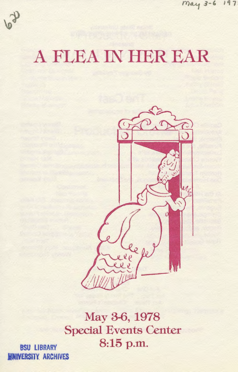

# A FLEA IN HER EAR



May 3-6, 1978 Special Events Center **BSU LIBRARY** 8:15 p.m.

**INIVERSITY ARCHIVES**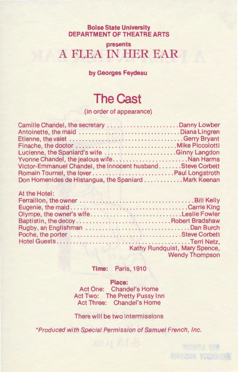#### **Boise State University DEPARTMENT OF THEATRE ARTS**

#### **presents**  A FLEA IN HER EAR

**by Georges Feydeau** 

#### **The Cast**

(in order of appearance)

| Camille Chandel, the secretary Danny Lowber                |  |
|------------------------------------------------------------|--|
| Antoinette, the maid Diana Lingren                         |  |
|                                                            |  |
|                                                            |  |
| Lucienne, the Spaniard's wife  Ginny Langdon               |  |
| Yvonne Chandel, the jealous wifeNan Harms                  |  |
| Victor-Emmanuel Chandel, the innocent husbandSteve Corbett |  |
|                                                            |  |
| Don Homenides de Histangua, the Spaniard Mark Keenan       |  |

| At the Hotel:                         |                               |
|---------------------------------------|-------------------------------|
|                                       |                               |
|                                       |                               |
| Olympe, the owner's wifeLeslie Fowler |                               |
|                                       |                               |
|                                       |                               |
|                                       |                               |
|                                       |                               |
|                                       | Kathy Rundquist, Mary Spence, |
|                                       | <b>Wendy Thompson</b>         |

**Time:** Paris, 1910

#### **Place:**

Act One: Chandel's Home Act Two: The Pretty Pussy Inn Act Three: Chandel's Home

There will be two intermissions

\*Produced with Special Permission of Samuel French, Inc.

**FUSSING B28** SHINGH YRACHIA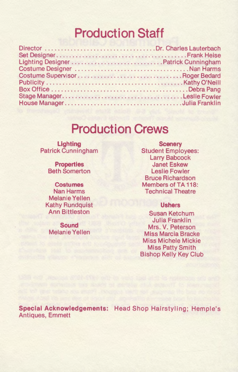### **Production Staff**

### **Production Crews**

**Lighting**  Patrick Cunningham

> **Properties**  Beth Somerton

**Costumes**  Nan Harms Melanie Yellen Kathy Rundquist Ann Bittleston

**Sound**  Melanie Yellen

**Scenery**  Student Employees: Larry Babcock Janet Eskew Leslie Fowler Bruce Richardson Members of TA 118: Technical Theatre

#### **Ushers**

Susan Ketchum Julia Franklin Mrs. V. Peterson Miss Marcia Bracke Miss Michele Mickie Miss Patty Smith Bishop Kelly Key Club

**Special Acknowledgements:** Head Shop Hairstyling; Hemple's Antiques, Emmett